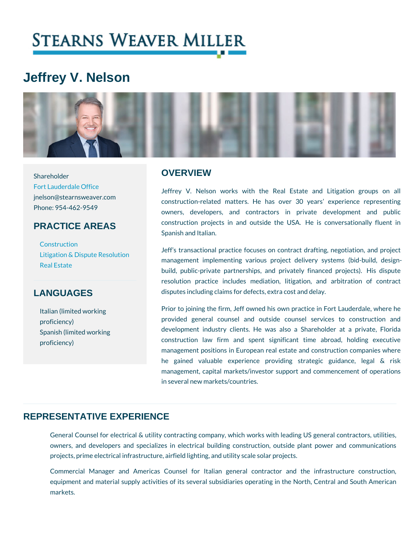# Jeffrey V. Nelson

#### **OVERVIEW**

[Fort Lauderda](https://www.stearnsweaver.com/offices/fort-lauderdale/)le Office jnelson@stearnsweaver.com Phone: 954-462-9549 PRACTICE AREAS Jeffrey V. Nelson works with the Real Estate  $\,$  construction-related matters. He has over 30 years owners, developers, and contractors in privational construction projects in and outside the USA. He Spanish and Italian.

[Construc](http://www.stearnsweaver.com/practices/construction-law)tion Jeff s transactional practice focuses on contract dra<br>[Litigation & Dispute](http://www.stearnsweaver.com/practices/litigation-dispute-resolution) Resolution [Real E](http://www.stearnsweaver.com/practices/real-estate)state management implementing various project delivery build, public-private partnerships, and privately financed projects resolution practice includes mediation, litigation, disputes including claims for defects, extra cost and d

### **LANGUAGES**

Shareholder

Italian (limited working proficiency) Spanish (limited working proficiency)

Prior to joining the firm, Jeff owned his own practice provided general counsel and outside counsel s development industry clients. He was also a Shareholder construction law firm and spent significant tim management positions in European real estate and co he gained valuable experience providing strate management, capital markets/investor support and comment. in several new markets/countries.

#### REPRESENTATIVE EXPERIENCE

General Counsel for electrical & utility contracting company, which works wi owners, and developers and specializes in electrical building constructior projects, prime electrical infrastructure, airfield lighting, and utility scale sol

Commercial Manager and Americas Counsel for Italian general contrad equipment and material supply activities of its several subsidiaries operatin markets.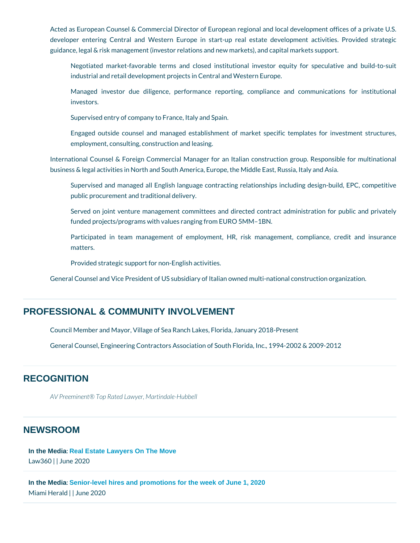Acted as European Counsel & Commercial Director of European regional and developer entering Central and Western Europe in start-up real estate guidance, legal & risk management (investor relations and new markets), and  $c$ 

Negotiated market-favorable terms and closed institutional investor  $\epsilon$ industrial and retail development projects in Central and Western Europe.

Managed investor due diligence, performance reporting, compliance investors.

Supervised entry of company to France, Italy and Spain.

Engaged outside counsel and managed establishment of market specif employment, consulting, construction and leasing.

International Counsel & Foreign Commercial Manager for an Italian construe business & legal activities in North and South America, Europe, the Middle Ea

Supervised and managed all English language contracting relationships public procurement and traditional delivery.

Served on joint venture management committees and directed contract funded projects/programs with values ranging from EURO 5MM 1BN.

Participated in team management of employment, HR, risk managem matters.

Provided strategic support for non-English activities.

General Counsel and Vice President of US subsidiary of Italian owned multi-na

#### PROFESSIONAL & COMMUNITY INVOLVEMENT

Council Member and Mayor, Village of Sea Ranch Lakes, Florida, January 2018 General Counsel, Engineering Contractors Association of South Florida, Inc.,

#### **RECOGNITION**

AV Preeminent® Top MRaartteinddla tew-yHeurbbell

#### NEWSROOM

[In the Media](/blog/category/in-the-media/) [: Real Estate Lawyers On The Move](https://www.law360.com/realestate/articles/1269672/real-estate-lawyers-on-the-move) Law360June 2020

[In the Media](/blog/category/in-the-media/) [: Senior-level hires and promotions for the week of June 1, 2020](https://www.miamiherald.com/news/business/biz-columns-blogs/movers/article243082556.html) Miami Helnaldne 2020